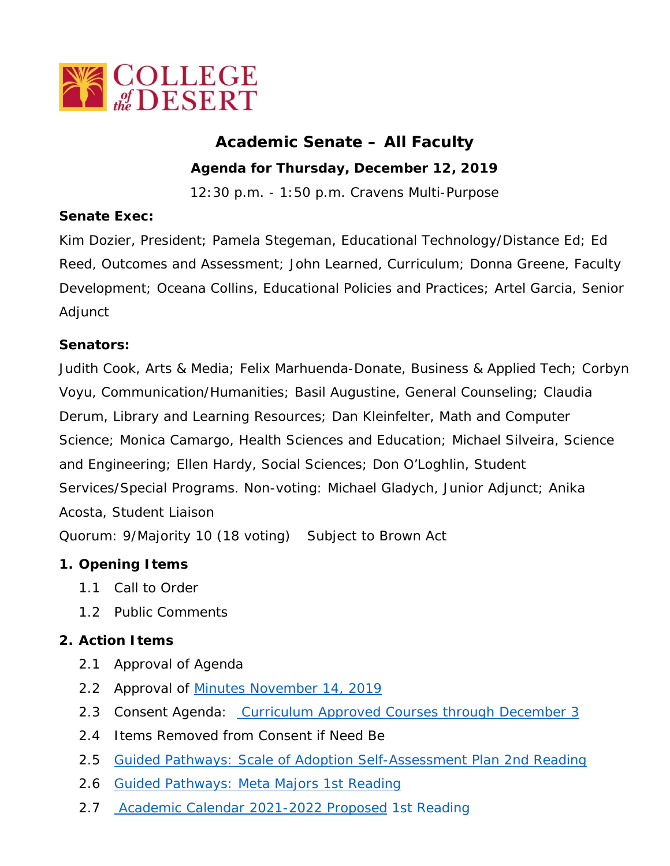

# **Academic Senate – All Faculty**

**Agenda for Thursday, December 12, 2019**

12:30 p.m. - 1:50 p.m. Cravens Multi-Purpose

### **Senate Exec:**

Kim Dozier, President; Pamela Stegeman, Educational Technology/Distance Ed; Ed Reed, Outcomes and Assessment; John Learned, Curriculum; Donna Greene, Faculty Development; Oceana Collins, Educational Policies and Practices; Artel Garcia, Senior Adjunct

#### **Senators:**

Judith Cook, Arts & Media; Felix Marhuenda-Donate, Business & Applied Tech; Corbyn Voyu, Communication/Humanities; Basil Augustine, General Counseling; Claudia Derum, Library and Learning Resources; Dan Kleinfelter, Math and Computer Science; Monica Camargo, Health Sciences and Education; Michael Silveira, Science and Engineering; Ellen Hardy, Social Sciences; Don O'Loghlin, Student Services/Special Programs. Non-voting: Michael Gladych, Junior Adjunct; Anika Acosta, Student Liaison

Quorum: 9/Majority 10 (18 voting) Subject to Brown Act

# **1. Opening Items**

- 1.1 Call to Order
- 1.2 Public Comments

# **2. Action Items**

- 2.1 Approval of Agenda
- 2.2 Approval of [Minutes November 14, 2019](http://campus.collegeofthedesert.edu/c/as/All%20Faculty%20Senate%20Minutes/2019-2020%20Minutes%20and%20Agendas/2019_1114%20AFS%20Minutes%20draft%20with%20flyer.pdf)
- 2.3 Consent Agenda: [Curriculum Approved Courses through December 3](http://campus.collegeofthedesert.edu/c/as/All%20Faculty%20Senate%20Minutes/2019-2020%20Minutes%20and%20Agendas/2019_1212%20Courses.pdf)
- 2.4 Items Removed from Consent if Need Be
- 2.5 [Guided Pathways: Scale of Adoption Self-Assessment Plan 2nd Reading](http://campus.collegeofthedesert.edu/c/as/All%20Faculty%20Senate%20Minutes/2019-2020%20Minutes%20and%20Agendas/2019_1212%20Guided%20Pathways_Scale%20of%20Adoption%20Self%20Assessment%202nd%20reading.pdf)
- 2.6 [Guided Pathways: Meta Majors 1st Reading](http://campus.collegeofthedesert.edu/c/as/All%20Faculty%20Senate%20Minutes/2019-2020%20Minutes%20and%20Agendas/2019_1212%20Guided%20Pathways_Meta%20Majors.pdf)
- 2.7 [Academic Calendar 2021-2022 Proposed](http://campus.collegeofthedesert.edu/c/as/All%20Faculty%20Senate%20Minutes/2019-2020%20Minutes%20and%20Agendas/2019_1212%20%20Proposed%202021-2022%20Academic%20Calendar.pdf) 1st Reading